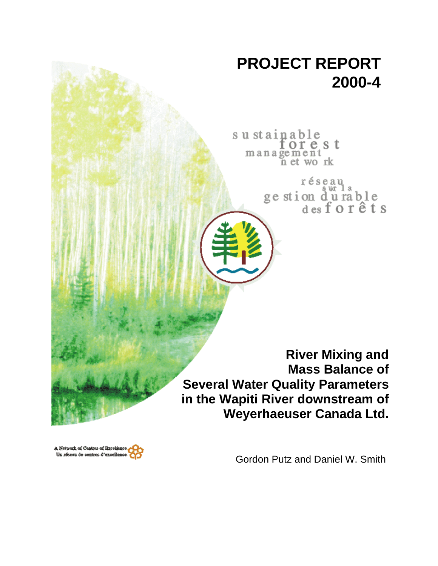

sustainable orest management n et work

> réseau ge stion durable<br>desforêts

**River Mixing and Mass Balance of Several Water Quality Parameters in the Wapiti River downstream of Weyerhaeuser Canada Ltd.**

A Notwork of Centres of Excellence Un réseau de centres d'excellenc

Gordon Putz and Daniel W. Smith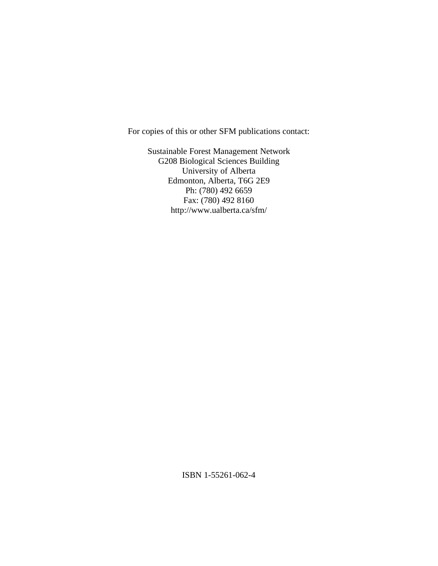For copies of this or other SFM publications contact:

Sustainable Forest Management Network G208 Biological Sciences Building University of Alberta Edmonton, Alberta, T6G 2E9 Ph: (780) 492 6659 Fax: (780) 492 8160 http://www.ualberta.ca/sfm/

ISBN 1-55261-062-4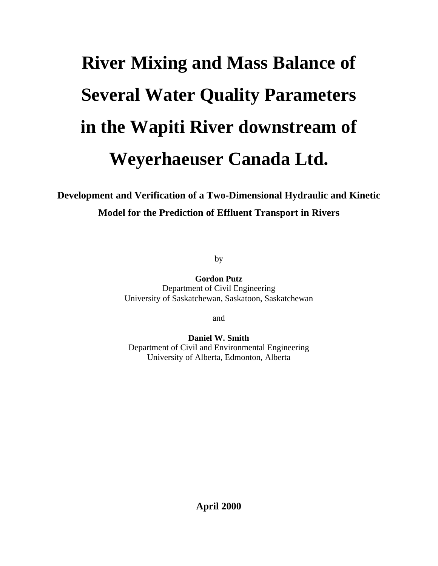# **River Mixing and Mass Balance of Several Water Quality Parameters in the Wapiti River downstream of Weyerhaeuser Canada Ltd.**

# **Development and Verification of a Two-Dimensional Hydraulic and Kinetic Model for the Prediction of Effluent Transport in Rivers**

by

**Gordon Putz** Department of Civil Engineering University of Saskatchewan, Saskatoon, Saskatchewan

and

**Daniel W. Smith** Department of Civil and Environmental Engineering University of Alberta, Edmonton, Alberta

**April 2000**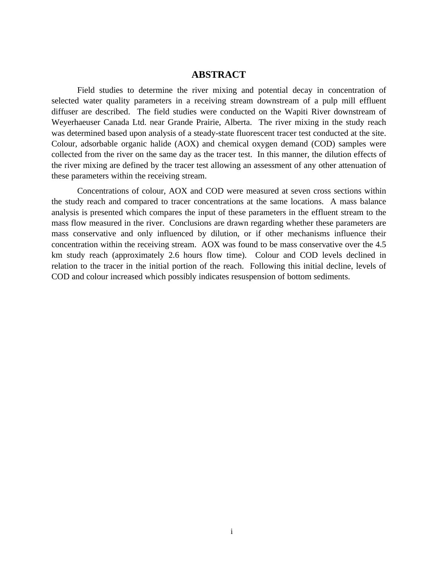### **ABSTRACT**

Field studies to determine the river mixing and potential decay in concentration of selected water quality parameters in a receiving stream downstream of a pulp mill effluent diffuser are described. The field studies were conducted on the Wapiti River downstream of Weyerhaeuser Canada Ltd. near Grande Prairie, Alberta. The river mixing in the study reach was determined based upon analysis of a steady-state fluorescent tracer test conducted at the site. Colour, adsorbable organic halide (AOX) and chemical oxygen demand (COD) samples were collected from the river on the same day as the tracer test. In this manner, the dilution effects of the river mixing are defined by the tracer test allowing an assessment of any other attenuation of these parameters within the receiving stream.

Concentrations of colour, AOX and COD were measured at seven cross sections within the study reach and compared to tracer concentrations at the same locations. A mass balance analysis is presented which compares the input of these parameters in the effluent stream to the mass flow measured in the river. Conclusions are drawn regarding whether these parameters are mass conservative and only influenced by dilution, or if other mechanisms influence their concentration within the receiving stream. AOX was found to be mass conservative over the 4.5 km study reach (approximately 2.6 hours flow time). Colour and COD levels declined in relation to the tracer in the initial portion of the reach. Following this initial decline, levels of COD and colour increased which possibly indicates resuspension of bottom sediments.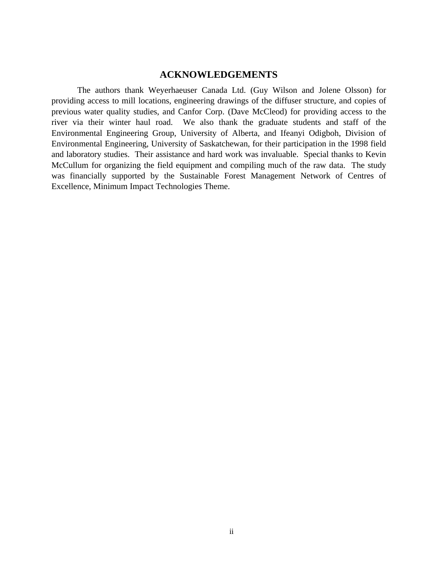#### **ACKNOWLEDGEMENTS**

The authors thank Weyerhaeuser Canada Ltd. (Guy Wilson and Jolene Olsson) for providing access to mill locations, engineering drawings of the diffuser structure, and copies of previous water quality studies, and Canfor Corp. (Dave McCleod) for providing access to the river via their winter haul road. We also thank the graduate students and staff of the Environmental Engineering Group, University of Alberta, and Ifeanyi Odigboh, Division of Environmental Engineering, University of Saskatchewan, for their participation in the 1998 field and laboratory studies. Their assistance and hard work was invaluable. Special thanks to Kevin McCullum for organizing the field equipment and compiling much of the raw data. The study was financially supported by the Sustainable Forest Management Network of Centres of Excellence, Minimum Impact Technologies Theme.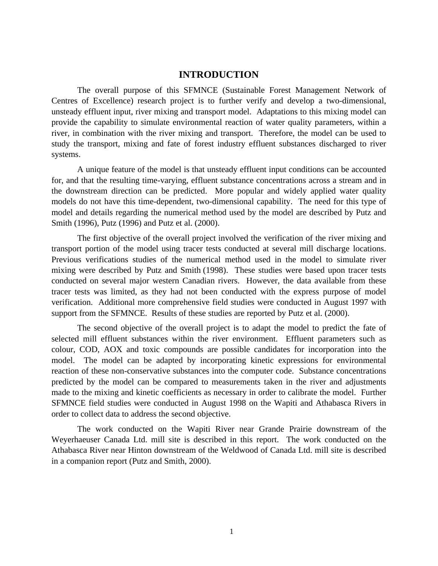# **INTRODUCTION**

The overall purpose of this SFMNCE (Sustainable Forest Management Network of Centres of Excellence) research project is to further verify and develop a two-dimensional, unsteady effluent input, river mixing and transport model. Adaptations to this mixing model can provide the capability to simulate environmental reaction of water quality parameters, within a river, in combination with the river mixing and transport. Therefore, the model can be used to study the transport, mixing and fate of forest industry effluent substances discharged to river systems.

A unique feature of the model is that unsteady effluent input conditions can be accounted for, and that the resulting time-varying, effluent substance concentrations across a stream and in the downstream direction can be predicted. More popular and widely applied water quality models do not have this time-dependent, two-dimensional capability. The need for this type of model and details regarding the numerical method used by the model are described by Putz and Smith (1996), Putz (1996) and Putz et al. (2000).

The first objective of the overall project involved the verification of the river mixing and transport portion of the model using tracer tests conducted at several mill discharge locations. Previous verifications studies of the numerical method used in the model to simulate river mixing were described by Putz and Smith (1998). These studies were based upon tracer tests conducted on several major western Canadian rivers. However, the data available from these tracer tests was limited, as they had not been conducted with the express purpose of model verification. Additional more comprehensive field studies were conducted in August 1997 with support from the SFMNCE. Results of these studies are reported by Putz et al. (2000).

The second objective of the overall project is to adapt the model to predict the fate of selected mill effluent substances within the river environment. Effluent parameters such as colour, COD, AOX and toxic compounds are possible candidates for incorporation into the model. The model can be adapted by incorporating kinetic expressions for environmental reaction of these non-conservative substances into the computer code. Substance concentrations predicted by the model can be compared to measurements taken in the river and adjustments made to the mixing and kinetic coefficients as necessary in order to calibrate the model. Further SFMNCE field studies were conducted in August 1998 on the Wapiti and Athabasca Rivers in order to collect data to address the second objective.

The work conducted on the Wapiti River near Grande Prairie downstream of the Weyerhaeuser Canada Ltd. mill site is described in this report. The work conducted on the Athabasca River near Hinton downstream of the Weldwood of Canada Ltd. mill site is described in a companion report (Putz and Smith, 2000).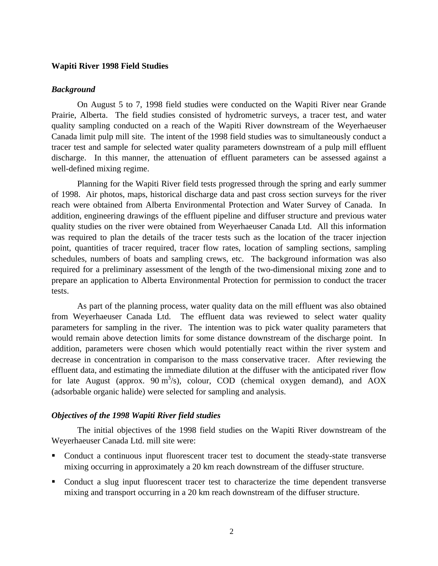#### **Wapiti River 1998 Field Studies**

#### *Background*

On August 5 to 7, 1998 field studies were conducted on the Wapiti River near Grande Prairie, Alberta. The field studies consisted of hydrometric surveys, a tracer test, and water quality sampling conducted on a reach of the Wapiti River downstream of the Weyerhaeuser Canada limit pulp mill site. The intent of the 1998 field studies was to simultaneously conduct a tracer test and sample for selected water quality parameters downstream of a pulp mill effluent discharge. In this manner, the attenuation of effluent parameters can be assessed against a well-defined mixing regime.

Planning for the Wapiti River field tests progressed through the spring and early summer of 1998. Air photos, maps, historical discharge data and past cross section surveys for the river reach were obtained from Alberta Environmental Protection and Water Survey of Canada. In addition, engineering drawings of the effluent pipeline and diffuser structure and previous water quality studies on the river were obtained from Weyerhaeuser Canada Ltd. All this information was required to plan the details of the tracer tests such as the location of the tracer injection point, quantities of tracer required, tracer flow rates, location of sampling sections, sampling schedules, numbers of boats and sampling crews, etc. The background information was also required for a preliminary assessment of the length of the two-dimensional mixing zone and to prepare an application to Alberta Environmental Protection for permission to conduct the tracer tests.

As part of the planning process, water quality data on the mill effluent was also obtained from Weyerhaeuser Canada Ltd. The effluent data was reviewed to select water quality parameters for sampling in the river. The intention was to pick water quality parameters that would remain above detection limits for some distance downstream of the discharge point. In addition, parameters were chosen which would potentially react within the river system and decrease in concentration in comparison to the mass conservative tracer. After reviewing the effluent data, and estimating the immediate dilution at the diffuser with the anticipated river flow for late August (approx.  $90 \text{ m}^3/\text{s}$ ), colour, COD (chemical oxygen demand), and AOX (adsorbable organic halide) were selected for sampling and analysis.

#### *Objectives of the 1998 Wapiti River field studies*

The initial objectives of the 1998 field studies on the Wapiti River downstream of the Weyerhaeuser Canada Ltd. mill site were:

- Conduct a continuous input fluorescent tracer test to document the steady-state transverse mixing occurring in approximately a 20 km reach downstream of the diffuser structure.
- Conduct a slug input fluorescent tracer test to characterize the time dependent transverse mixing and transport occurring in a 20 km reach downstream of the diffuser structure.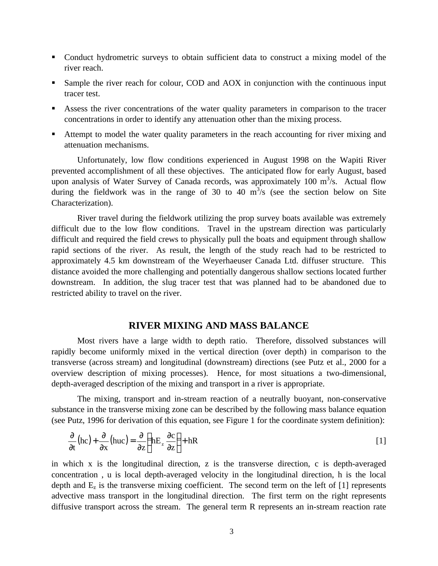- Conduct hydrometric surveys to obtain sufficient data to construct a mixing model of the river reach.
- ß Sample the river reach for colour, COD and AOX in conjunction with the continuous input tracer test.
- Assess the river concentrations of the water quality parameters in comparison to the tracer concentrations in order to identify any attenuation other than the mixing process.
- ß Attempt to model the water quality parameters in the reach accounting for river mixing and attenuation mechanisms.

Unfortunately, low flow conditions experienced in August 1998 on the Wapiti River prevented accomplishment of all these objectives. The anticipated flow for early August, based upon analysis of Water Survey of Canada records, was approximately 100  $m^3/s$ . Actual flow during the fieldwork was in the range of 30 to 40  $\text{m}^3\text{/s}$  (see the section below on Site Characterization).

River travel during the fieldwork utilizing the prop survey boats available was extremely difficult due to the low flow conditions. Travel in the upstream direction was particularly difficult and required the field crews to physically pull the boats and equipment through shallow rapid sections of the river. As result, the length of the study reach had to be restricted to approximately 4.5 km downstream of the Weyerhaeuser Canada Ltd. diffuser structure. This distance avoided the more challenging and potentially dangerous shallow sections located further downstream. In addition, the slug tracer test that was planned had to be abandoned due to restricted ability to travel on the river.

#### **RIVER MIXING AND MASS BALANCE**

Most rivers have a large width to depth ratio. Therefore, dissolved substances will rapidly become uniformly mixed in the vertical direction (over depth) in comparison to the transverse (across stream) and longitudinal (downstream) directions (see Putz et al., 2000 for a overview description of mixing processes). Hence, for most situations a two-dimensional, depth-averaged description of the mixing and transport in a river is appropriate.

The mixing, transport and in-stream reaction of a neutrally buoyant, non-conservative substance in the transverse mixing zone can be described by the following mass balance equation (see Putz, 1996 for derivation of this equation, see Figure 1 for the coordinate system definition):

$$
\frac{\partial}{\partial t}(\text{hc}) + \frac{\partial}{\partial x}(\text{huc}) = \frac{\partial}{\partial z} \left( \text{hE}_z \frac{\partial c}{\partial z} \right) + \text{hR}
$$

in which x is the longitudinal direction, z is the transverse direction, c is depth-averaged concentration , u is local depth-averaged velocity in the longitudinal direction, h is the local depth and  $E_z$  is the transverse mixing coefficient. The second term on the left of [1] represents advective mass transport in the longitudinal direction. The first term on the right represents diffusive transport across the stream. The general term R represents an in-stream reaction rate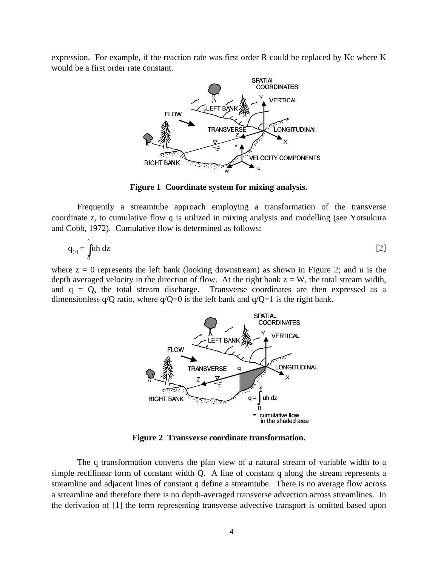expression. For example, if the reaction rate was first order R could be replaced by Kc where K would be a first order rate constant.



**Figure 1 Coordinate system for mixing analysis.**

Frequently a streamtube approach employing a transformation of the transverse coordinate z, to cumulative flow q is utilized in mixing analysis and modelling (see Yotsukura and Cobb, 1972). Cumulative flow is determined as follows:

$$
q_{(z)} = \int_{0}^{z} uh \, dz \tag{2}
$$

where  $z = 0$  represents the left bank (looking downstream) as shown in Figure 2; and u is the depth averaged velocity in the direction of flow. At the right bank  $z = W$ , the total stream width, and  $q = Q$ , the total stream discharge. Transverse coordinates are then expressed as a dimensionless  $q/Q$  ratio, where  $q/Q=0$  is the left bank and  $q/Q=1$  is the right bank.



**Figure 2 Transverse coordinate transformation.**

The q transformation converts the plan view of a natural stream of variable width to a simple rectilinear form of constant width Q. A line of constant q along the stream represents a streamline and adjacent lines of constant q define a streamtube. There is no average flow across a streamline and therefore there is no depth-averaged transverse advection across streamlines. In the derivation of [1] the term representing transverse advective transport is omitted based upon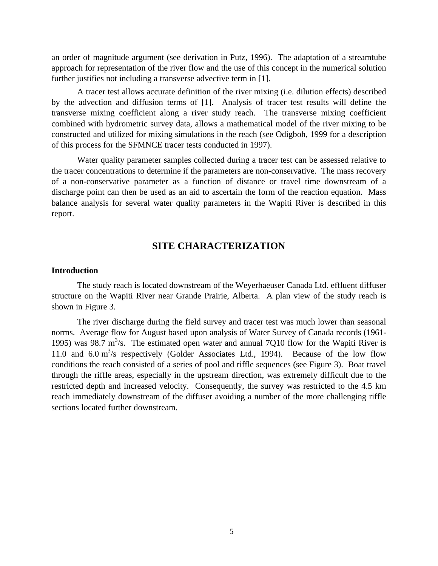an order of magnitude argument (see derivation in Putz, 1996). The adaptation of a streamtube approach for representation of the river flow and the use of this concept in the numerical solution further justifies not including a transverse advective term in [1].

A tracer test allows accurate definition of the river mixing (i.e. dilution effects) described by the advection and diffusion terms of [1]. Analysis of tracer test results will define the transverse mixing coefficient along a river study reach. The transverse mixing coefficient combined with hydrometric survey data, allows a mathematical model of the river mixing to be constructed and utilized for mixing simulations in the reach (see Odigboh, 1999 for a description of this process for the SFMNCE tracer tests conducted in 1997).

Water quality parameter samples collected during a tracer test can be assessed relative to the tracer concentrations to determine if the parameters are non-conservative. The mass recovery of a non-conservative parameter as a function of distance or travel time downstream of a discharge point can then be used as an aid to ascertain the form of the reaction equation. Mass balance analysis for several water quality parameters in the Wapiti River is described in this report.

# **SITE CHARACTERIZATION**

#### **Introduction**

The study reach is located downstream of the Weyerhaeuser Canada Ltd. effluent diffuser structure on the Wapiti River near Grande Prairie, Alberta. A plan view of the study reach is shown in Figure 3.

The river discharge during the field survey and tracer test was much lower than seasonal norms. Average flow for August based upon analysis of Water Survey of Canada records (1961- 1995) was 98.7  $m^3$ /s. The estimated open water and annual 7Q10 flow for the Wapiti River is 11.0 and  $6.0 \text{ m}^3$ /s respectively (Golder Associates Ltd., 1994). Because of the low flow conditions the reach consisted of a series of pool and riffle sequences (see Figure 3). Boat travel through the riffle areas, especially in the upstream direction, was extremely difficult due to the restricted depth and increased velocity. Consequently, the survey was restricted to the 4.5 km reach immediately downstream of the diffuser avoiding a number of the more challenging riffle sections located further downstream.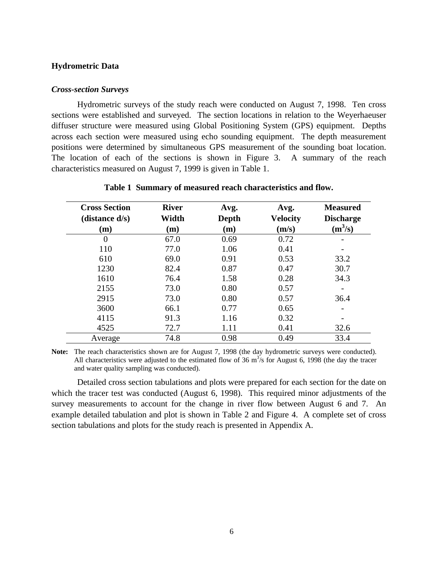#### **Hydrometric Data**

#### *Cross-section Surveys*

Hydrometric surveys of the study reach were conducted on August 7, 1998. Ten cross sections were established and surveyed. The section locations in relation to the Weyerhaeuser diffuser structure were measured using Global Positioning System (GPS) equipment. Depths across each section were measured using echo sounding equipment. The depth measurement positions were determined by simultaneous GPS measurement of the sounding boat location. The location of each of the sections is shown in Figure 3. A summary of the reach characteristics measured on August 7, 1999 is given in Table 1.

| <b>Cross Section</b> | <b>River</b> | Avg.  | Avg.            | <b>Measured</b>  |
|----------------------|--------------|-------|-----------------|------------------|
| $(distance \, d/s)$  | Width        | Depth | <b>Velocity</b> | <b>Discharge</b> |
| (m)                  | (m)          | (m)   | (m/s)           | $(m^3/s)$        |
| $\Omega$             | 67.0         | 0.69  | 0.72            |                  |
| 110                  | 77.0         | 1.06  | 0.41            |                  |
| 610                  | 69.0         | 0.91  | 0.53            | 33.2             |
| 1230                 | 82.4         | 0.87  | 0.47            | 30.7             |
| 1610                 | 76.4         | 1.58  | 0.28            | 34.3             |
| 2155                 | 73.0         | 0.80  | 0.57            |                  |
| 2915                 | 73.0         | 0.80  | 0.57            | 36.4             |
| 3600                 | 66.1         | 0.77  | 0.65            |                  |
| 4115                 | 91.3         | 1.16  | 0.32            |                  |
| 4525                 | 72.7         | 1.11  | 0.41            | 32.6             |
| Average              | 74.8         | 0.98  | 0.49            | 33.4             |

#### **Table 1 Summary of measured reach characteristics and flow.**

**Note:** The reach characteristics shown are for August 7, 1998 (the day hydrometric surveys were conducted). All characteristics were adjusted to the estimated flow of 36  $\text{m}^3\text{/s}$  for August 6, 1998 (the day the tracer and water quality sampling was conducted).

Detailed cross section tabulations and plots were prepared for each section for the date on which the tracer test was conducted (August 6, 1998). This required minor adjustments of the survey measurements to account for the change in river flow between August 6 and 7. An example detailed tabulation and plot is shown in Table 2 and Figure 4. A complete set of cross section tabulations and plots for the study reach is presented in Appendix A.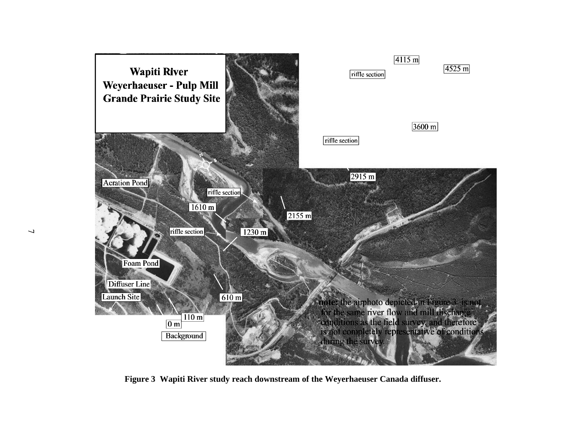

**Figure 3 Wapiti River study reach downstream of the Weyerhaeuser Canada diffuser.**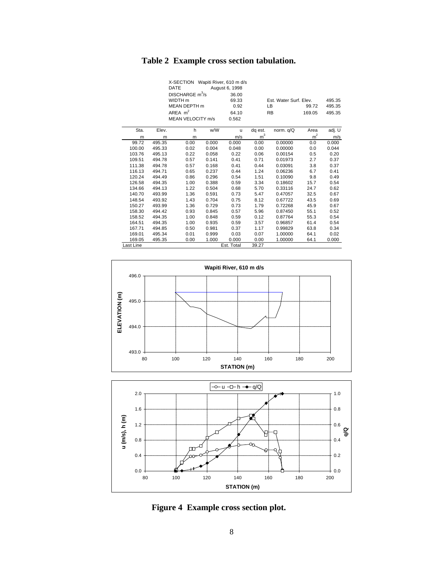# **Table 2 Example cross section tabulation.**

|           |        | X-SECTION Wapiti River, 610 m d/s<br><b>DATE</b> |       | August 6, 1998 |                |                        |                |        |
|-----------|--------|--------------------------------------------------|-------|----------------|----------------|------------------------|----------------|--------|
|           |        | DISCHARGE m <sup>3</sup> /s                      |       | 36.00          |                |                        |                |        |
|           |        | WIDTH <sub>m</sub>                               |       | 69.33          |                | Est. Water Surf. Elev. |                | 495.35 |
|           |        | <b>MEAN DEPTH m</b>                              |       | 0.92           |                | LВ                     | 99.72          | 495.35 |
|           |        | AREA $m2$                                        |       | 64.10          |                | <b>RB</b>              | 169.05         | 495.35 |
|           |        | <b>MEAN VELOCITY m/s</b>                         |       | 0.562          |                |                        |                |        |
| Sta.      | Elev.  | h                                                | w/W   | u              | dq est.        | norm. q/Q              | Area           | adj. U |
| m         | m      | m                                                |       | m/s            | m <sup>3</sup> |                        | m <sup>2</sup> | m/s    |
| 99.72     | 495.35 | 0.00                                             | 0.000 | 0.000          | 0.00           | 0.00000                | 0.0            | 0.000  |
| 100.00    | 495.33 | 0.02                                             | 0.004 | 0.048          | 0.00           | 0.00000                | 0.0            | 0.044  |
| 103.76    | 495.13 | 0.22                                             | 0.058 | 0.22           | 0.06           | 0.00154                | 0.5            | 0.20   |
| 109.51    | 494.78 | 0.57                                             | 0.141 | 0.41           | 0.71           | 0.01973                | 2.7            | 0.37   |
| 111.38    | 494.78 | 0.57                                             | 0.168 | 0.41           | 0.44           | 0.03091                | 3.8            | 0.37   |
| 116.13    | 494.71 | 0.65                                             | 0.237 | 0.44           | 1.24           | 0.06236                | 6.7            | 0.41   |
| 120.24    | 494.49 | 0.86                                             | 0.296 | 0.54           | 1.51           | 0.10090                | 9.8            | 0.49   |
| 126.58    | 494.35 | 1.00                                             | 0.388 | 0.59           | 3.34           | 0.18602                | 15.7           | 0.54   |
| 134.66    | 494.13 | 1.22                                             | 0.504 | 0.68           | 5.70           | 0.33116                | 24.7           | 0.62   |
| 140.70    | 493.99 | 1.36                                             | 0.591 | 0.73           | 5.47           | 0.47057                | 32.5           | 0.67   |
| 148.54    | 493.92 | 1.43                                             | 0.704 | 0.75           | 8.12           | 0.67722                | 43.5           | 0.69   |
| 150.27    | 493.99 | 1.36                                             | 0.729 | 0.73           | 1.79           | 0.72268                | 45.9           | 0.67   |
| 158.30    | 494.42 | 0.93                                             | 0.845 | 0.57           | 5.96           | 0.87450                | 55.1           | 0.52   |
| 158.52    | 494.35 | 1.00                                             | 0.848 | 0.59           | 0.12           | 0.87764                | 55.3           | 0.54   |
| 164.51    | 494.35 | 1.00                                             | 0.935 | 0.59           | 3.57           | 0.96857                | 61.4           | 0.54   |
| 167.71    | 494.85 | 0.50                                             | 0.981 | 0.37           | 1.17           | 0.99829                | 63.8           | 0.34   |
| 169.01    | 495.34 | 0.01                                             | 0.999 | 0.03           | 0.07           | 1.00000                | 64.1           | 0.02   |
| 169.05    | 495.35 | 0.00                                             | 1.000 | 0.000          | 0.00           | 1.00000                | 64.1           | 0.000  |
| Last Line |        |                                                  |       | Est. Total     | 39.27          |                        |                |        |





**Figure 4 Example cross section plot.**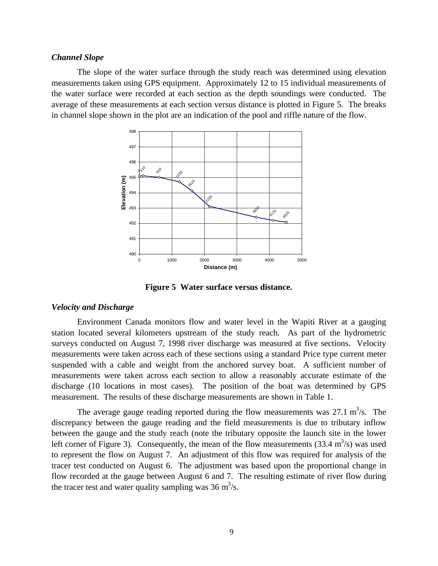#### *Channel Slope*

The slope of the water surface through the study reach was determined using elevation measurements taken using GPS equipment. Approximately 12 to 15 individual measurements of the water surface were recorded at each section as the depth soundings were conducted. The average of these measurements at each section versus distance is plotted in Figure 5. The breaks in channel slope shown in the plot are an indication of the pool and riffle nature of the flow.



**Figure 5 Water surface versus distance.**

#### *Velocity and Discharge*

Environment Canada monitors flow and water level in the Wapiti River at a gauging station located several kilometers upstream of the study reach. As part of the hydrometric surveys conducted on August 7, 1998 river discharge was measured at five sections. Velocity measurements were taken across each of these sections using a standard Price type current meter suspended with a cable and weight from the anchored survey boat. A sufficient number of measurements were taken across each section to allow a reasonably accurate estimate of the discharge (10 locations in most cases). The position of the boat was determined by GPS measurement. The results of these discharge measurements are shown in Table 1.

The average gauge reading reported during the flow measurements was  $27.1 \text{ m}^3/\text{s}$ . The discrepancy between the gauge reading and the field measurements is due to tributary inflow between the gauge and the study reach (note the tributary opposite the launch site in the lower left corner of Figure 3). Consequently, the mean of the flow measurements  $(33.4 \text{ m}^3/\text{s})$  was used to represent the flow on August 7. An adjustment of this flow was required for analysis of the tracer test conducted on August 6. The adjustment was based upon the proportional change in flow recorded at the gauge between August 6 and 7. The resulting estimate of river flow during the tracer test and water quality sampling was 36  $\text{m}^3\text{/s}$ .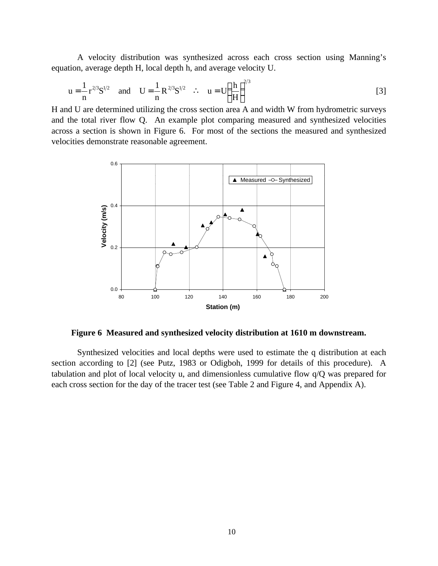A velocity distribution was synthesized across each cross section using Manning's equation, average depth H, local depth h, and average velocity U.

$$
u = \frac{1}{n} r^{2/3} S^{1/2}
$$
 and  $U = \frac{1}{n} R^{2/3} S^{1/2}$  :  $u = U \left(\frac{h}{H}\right)^{2/3}$  [3]

H and U are determined utilizing the cross section area A and width W from hydrometric surveys and the total river flow Q. An example plot comparing measured and synthesized velocities across a section is shown in Figure 6. For most of the sections the measured and synthesized velocities demonstrate reasonable agreement.



**Figure 6 Measured and synthesized velocity distribution at 1610 m downstream.**

Synthesized velocities and local depths were used to estimate the q distribution at each section according to [2] (see Putz, 1983 or Odigboh, 1999 for details of this procedure). A tabulation and plot of local velocity u, and dimensionless cumulative flow q/Q was prepared for each cross section for the day of the tracer test (see Table 2 and Figure 4, and Appendix A).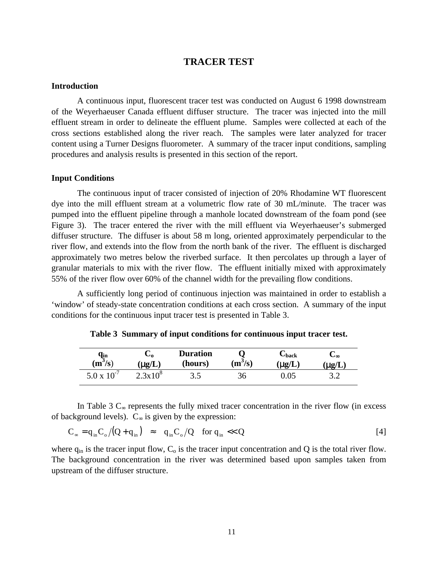#### **TRACER TEST**

#### **Introduction**

A continuous input, fluorescent tracer test was conducted on August 6 1998 downstream of the Weyerhaeuser Canada effluent diffuser structure. The tracer was injected into the mill effluent stream in order to delineate the effluent plume. Samples were collected at each of the cross sections established along the river reach. The samples were later analyzed for tracer content using a Turner Designs fluorometer. A summary of the tracer input conditions, sampling procedures and analysis results is presented in this section of the report.

#### **Input Conditions**

The continuous input of tracer consisted of injection of 20% Rhodamine WT fluorescent dye into the mill effluent stream at a volumetric flow rate of 30 mL/minute. The tracer was pumped into the effluent pipeline through a manhole located downstream of the foam pond (see Figure 3). The tracer entered the river with the mill effluent via Weyerhaeuser's submerged diffuser structure. The diffuser is about 58 m long, oriented approximately perpendicular to the river flow, and extends into the flow from the north bank of the river. The effluent is discharged approximately two metres below the riverbed surface. It then percolates up through a layer of granular materials to mix with the river flow. The effluent initially mixed with approximately 55% of the river flow over 60% of the channel width for the prevailing flow conditions.

A sufficiently long period of continuous injection was maintained in order to establish a 'window' of steady-state concentration conditions at each cross section. A summary of the input conditions for the continuous input tracer test is presented in Table 3.

| $q_{in}$<br>(m <sup>3</sup> /s) | ∽ด<br>$(\mu$ g/L) | <b>Duration</b><br>(hours) | $(m^3/s)$ | $\mathbf{\mathsf{L}}$ back<br>$(\mu g/L)$ | ◡∞<br>$(\mu$ g/L) |
|---------------------------------|-------------------|----------------------------|-----------|-------------------------------------------|-------------------|
| $5.0 \times 10^{-7}$            | $2.3x10^{8}$      | 3.5                        | 36        | 0.05                                      | ے . د             |

**Table 3 Summary of input conditions for continuous input tracer test.**

In Table 3  $C_{\infty}$  represents the fully mixed tracer concentration in the river flow (in excess of background levels).  $C_{\infty}$  is given by the expression:

$$
C_{\infty} = q_{in} C_{o} / (Q + q_{in}) \approx q_{in} C_{o} / Q \quad \text{for } q_{in} << Q
$$

where  $q_{in}$  is the tracer input flow,  $C_0$  is the tracer input concentration and Q is the total river flow. The background concentration in the river was determined based upon samples taken from upstream of the diffuser structure.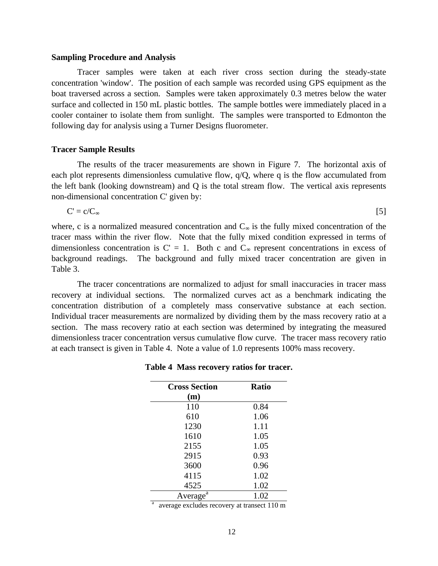#### **Sampling Procedure and Analysis**

Tracer samples were taken at each river cross section during the steady-state concentration 'window'. The position of each sample was recorded using GPS equipment as the boat traversed across a section. Samples were taken approximately 0.3 metres below the water surface and collected in 150 mL plastic bottles. The sample bottles were immediately placed in a cooler container to isolate them from sunlight. The samples were transported to Edmonton the following day for analysis using a Turner Designs fluorometer.

#### **Tracer Sample Results**

The results of the tracer measurements are shown in Figure 7. The horizontal axis of each plot represents dimensionless cumulative flow,  $q/Q$ , where q is the flow accumulated from the left bank (looking downstream) and Q is the total stream flow. The vertical axis represents non-dimensional concentration C' given by:

 $C' = c/C_{\infty}$  [5]

where, c is a normalized measured concentration and  $C_{\infty}$  is the fully mixed concentration of the tracer mass within the river flow. Note that the fully mixed condition expressed in terms of dimensionless concentration is  $C' = 1$ . Both c and  $C_{\infty}$  represent concentrations in excess of background readings. The background and fully mixed tracer concentration are given in Table 3.

The tracer concentrations are normalized to adjust for small inaccuracies in tracer mass recovery at individual sections. The normalized curves act as a benchmark indicating the concentration distribution of a completely mass conservative substance at each section. Individual tracer measurements are normalized by dividing them by the mass recovery ratio at a section. The mass recovery ratio at each section was determined by integrating the measured dimensionless tracer concentration versus cumulative flow curve. The tracer mass recovery ratio at each transect is given in Table 4. Note a value of 1.0 represents 100% mass recovery.

| <b>Cross Section</b> | <b>Ratio</b> |
|----------------------|--------------|
| (m)                  |              |
| 110                  | 0.84         |
| 610                  | 1.06         |
| 1230                 | 1.11         |
| 1610                 | 1.05         |
| 2155                 | 1.05         |
| 2915                 | 0.93         |
| 3600                 | 0.96         |
| 4115                 | 1.02         |
| 4525                 | 1.02         |
| Average <sup>a</sup> | 1.02         |

#### **Table 4 Mass recovery ratios for tracer.**

 $\frac{a}{a}$  average excludes recovery at transect 110 m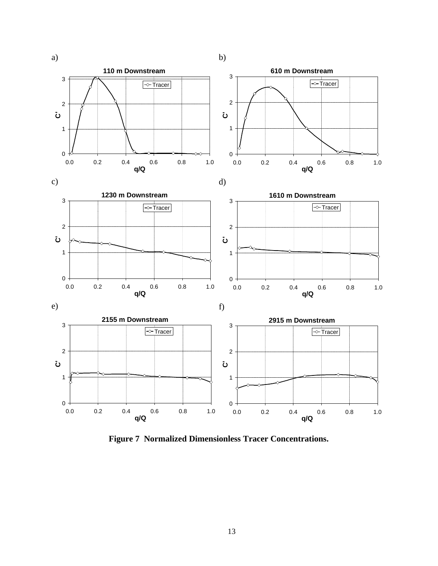

**Figure 7 Normalized Dimensionless Tracer Concentrations.**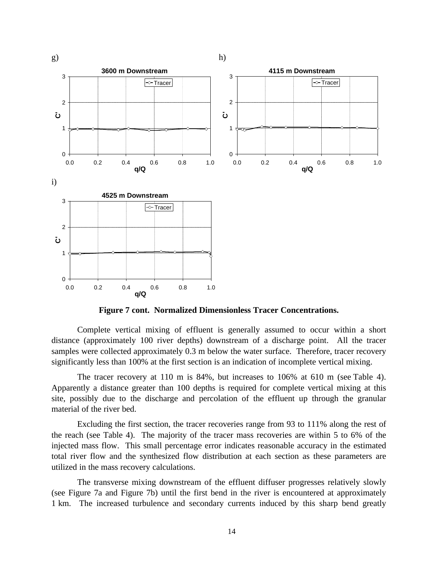

**Figure 7 cont. Normalized Dimensionless Tracer Concentrations.**

Complete vertical mixing of effluent is generally assumed to occur within a short distance (approximately 100 river depths) downstream of a discharge point. All the tracer samples were collected approximately 0.3 m below the water surface. Therefore, tracer recovery significantly less than 100% at the first section is an indication of incomplete vertical mixing.

The tracer recovery at 110 m is 84%, but increases to 106% at 610 m (see Table 4). Apparently a distance greater than 100 depths is required for complete vertical mixing at this site, possibly due to the discharge and percolation of the effluent up through the granular material of the river bed.

Excluding the first section, the tracer recoveries range from 93 to 111% along the rest of the reach (see Table 4). The majority of the tracer mass recoveries are within 5 to 6% of the injected mass flow. This small percentage error indicates reasonable accuracy in the estimated total river flow and the synthesized flow distribution at each section as these parameters are utilized in the mass recovery calculations.

The transverse mixing downstream of the effluent diffuser progresses relatively slowly (see Figure 7a and Figure 7b) until the first bend in the river is encountered at approximately 1 km. The increased turbulence and secondary currents induced by this sharp bend greatly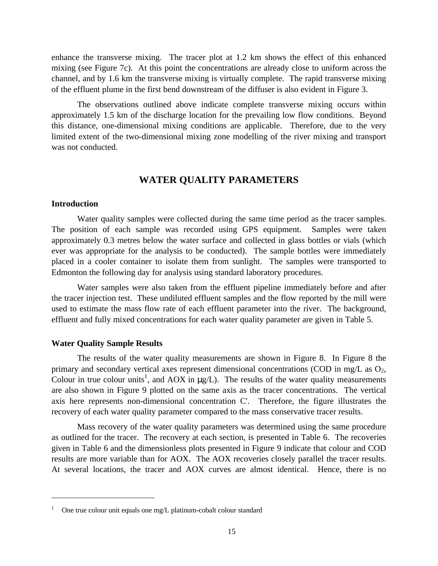enhance the transverse mixing. The tracer plot at 1.2 km shows the effect of this enhanced mixing (see Figure 7c). At this point the concentrations are already close to uniform across the channel, and by 1.6 km the transverse mixing is virtually complete. The rapid transverse mixing of the effluent plume in the first bend downstream of the diffuser is also evident in Figure 3.

The observations outlined above indicate complete transverse mixing occurs within approximately 1.5 km of the discharge location for the prevailing low flow conditions. Beyond this distance, one-dimensional mixing conditions are applicable. Therefore, due to the very limited extent of the two-dimensional mixing zone modelling of the river mixing and transport was not conducted.

# **WATER QUALITY PARAMETERS**

#### **Introduction**

 $\overline{a}$ 

Water quality samples were collected during the same time period as the tracer samples. The position of each sample was recorded using GPS equipment. Samples were taken approximately 0.3 metres below the water surface and collected in glass bottles or vials (which ever was appropriate for the analysis to be conducted). The sample bottles were immediately placed in a cooler container to isolate them from sunlight. The samples were transported to Edmonton the following day for analysis using standard laboratory procedures.

Water samples were also taken from the effluent pipeline immediately before and after the tracer injection test. These undiluted effluent samples and the flow reported by the mill were used to estimate the mass flow rate of each effluent parameter into the river. The background, effluent and fully mixed concentrations for each water quality parameter are given in Table 5.

#### **Water Quality Sample Results**

The results of the water quality measurements are shown in Figure 8. In Figure 8 the primary and secondary vertical axes represent dimensional concentrations (COD in mg/L as  $O_2$ , Colour in true colour units<sup>1</sup>, and AOX in  $\mu$ g/L). The results of the water quality measurements are also shown in Figure 9 plotted on the same axis as the tracer concentrations. The vertical axis here represents non-dimensional concentration C'. Therefore, the figure illustrates the recovery of each water quality parameter compared to the mass conservative tracer results.

Mass recovery of the water quality parameters was determined using the same procedure as outlined for the tracer. The recovery at each section, is presented in Table 6. The recoveries given in Table 6 and the dimensionless plots presented in Figure 9 indicate that colour and COD results are more variable than for AOX. The AOX recoveries closely parallel the tracer results. At several locations, the tracer and AOX curves are almost identical. Hence, there is no

<sup>1</sup> One true colour unit equals one mg/L platinum-cobalt colour standard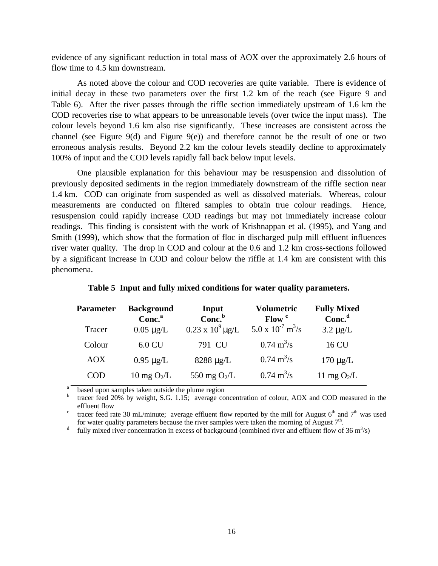evidence of any significant reduction in total mass of AOX over the approximately 2.6 hours of flow time to 4.5 km downstream.

As noted above the colour and COD recoveries are quite variable. There is evidence of initial decay in these two parameters over the first 1.2 km of the reach (see Figure 9 and Table 6). After the river passes through the riffle section immediately upstream of 1.6 km the COD recoveries rise to what appears to be unreasonable levels (over twice the input mass). The colour levels beyond 1.6 km also rise significantly. These increases are consistent across the channel (see Figure 9(d) and Figure 9(e)) and therefore cannot be the result of one or two erroneous analysis results. Beyond 2.2 km the colour levels steadily decline to approximately 100% of input and the COD levels rapidly fall back below input levels.

One plausible explanation for this behaviour may be resuspension and dissolution of previously deposited sediments in the region immediately downstream of the riffle section near 1.4 km. COD can originate from suspended as well as dissolved materials. Whereas, colour measurements are conducted on filtered samples to obtain true colour readings. Hence, resuspension could rapidly increase COD readings but may not immediately increase colour readings. This finding is consistent with the work of Krishnappan et al. (1995), and Yang and Smith (1999), which show that the formation of floc in discharged pulp mill effluent influences river water quality. The drop in COD and colour at the 0.6 and 1.2 km cross-sections followed by a significant increase in COD and colour below the riffle at 1.4 km are consistent with this phenomena.

| <b>Parameter</b> | <b>Background</b>  | Input                      | <b>Volumetric</b>               | <b>Fully Mixed</b> |
|------------------|--------------------|----------------------------|---------------------------------|--------------------|
|                  | Conc. <sup>a</sup> | Conc. <sup>b</sup>         | Flow <sup>c</sup>               | Conc <sup>d</sup>  |
| Tracer           | $0.05 \mu g/L$     | $0.23 \times 10^9 \mu g/L$ | 5.0 x $10^{-7}$ $\frac{m^3}{s}$ | $3.2 \mu g/L$      |
| Colour           | $6.0 \text{ CU}$   | 791 CU                     | $0.74 \text{ m}^3/\text{s}$     | 16 CU              |
| <b>AOX</b>       | $0.95 \mu g/L$     | $8288 \mu g/L$             | $0.74 \text{ m}^3/\text{s}$     | $170 \mu g/L$      |
| <b>COD</b>       | 10 mg $O_2/L$      | 550 mg $O_2/L$             | $0.74 \text{ m}^3/\text{s}$     | 11 mg $O_2/L$      |

**Table 5 Input and fully mixed conditions for water quality parameters.**

a based upon samples taken outside the plume region

b tracer feed 20% by weight, S.G. 1.15; average concentration of colour, AOX and COD measured in the effluent flow

c tracer feed rate 30 mL/minute; average effluent flow reported by the mill for August  $6<sup>th</sup>$  and  $7<sup>th</sup>$  was used for water quality parameters because the river samples were taken the morning of August  $7<sup>th</sup>$ .

d fully mixed river concentration in excess of background (combined river and effluent flow of 36  $\text{m}^3\text{/s}$ )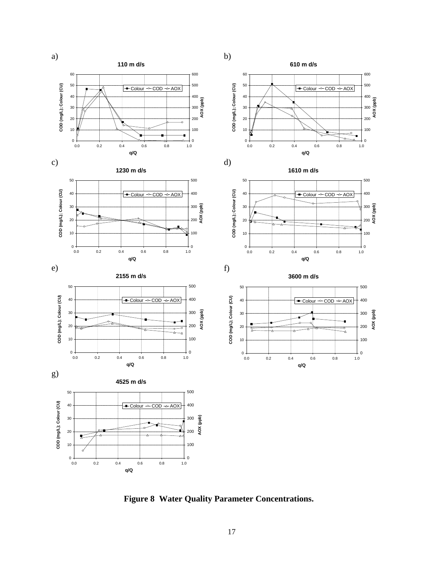

**Figure 8 Water Quality Parameter Concentrations.**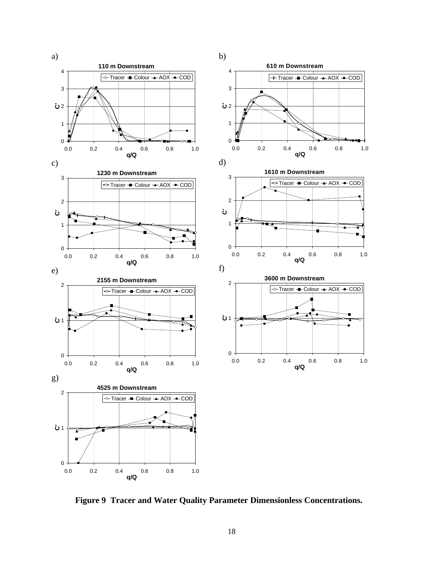

**Figure 9 Tracer and Water Quality Parameter Dimensionless Concentrations.**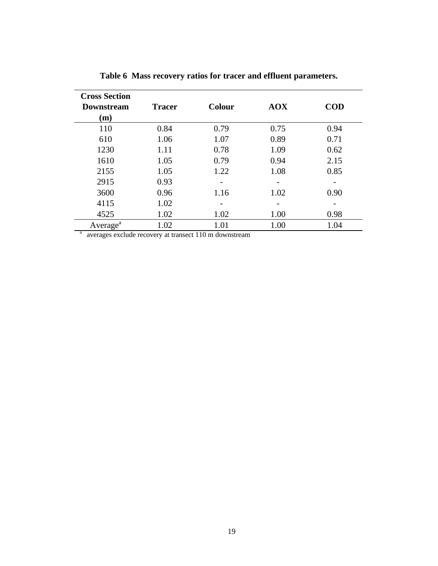| <b>Cross Section</b>           |               |               |            |            |
|--------------------------------|---------------|---------------|------------|------------|
| <b>Downstream</b>              | <b>Tracer</b> | <b>Colour</b> | <b>AOX</b> | <b>COD</b> |
| (m)                            |               |               |            |            |
| 110                            | 0.84          | 0.79          | 0.75       | 0.94       |
| 610                            | 1.06          | 1.07          | 0.89       | 0.71       |
| 1230                           | 1.11          | 0.78          | 1.09       | 0.62       |
| 1610                           | 1.05          | 0.79          | 0.94       | 2.15       |
| 2155                           | 1.05          | 1.22          | 1.08       | 0.85       |
| 2915                           | 0.93          |               |            |            |
| 3600                           | 0.96          | 1.16          | 1.02       | 0.90       |
| 4115                           | 1.02          |               |            |            |
| 4525                           | 1.02          | 1.02          | 1.00       | 0.98       |
| Average <sup>a</sup><br>$\sim$ | 1.02          | 1.01          | 1.00       | 1.04       |

**Table 6 Mass recovery ratios for tracer and effluent parameters.**

 $a$  averages exclude recovery at transect 110 m downstream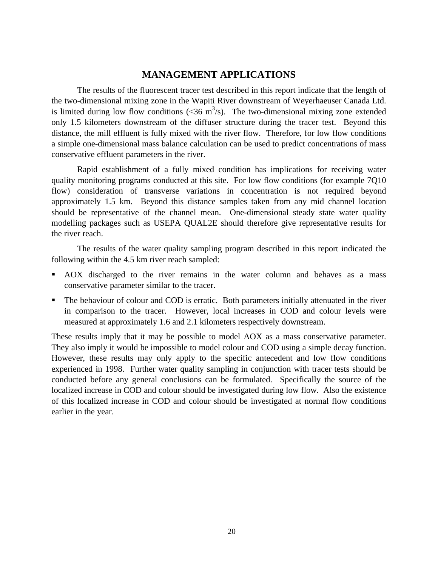# **MANAGEMENT APPLICATIONS**

The results of the fluorescent tracer test described in this report indicate that the length of the two-dimensional mixing zone in the Wapiti River downstream of Weyerhaeuser Canada Ltd. is limited during low flow conditions (<36  $m^3/s$ ). The two-dimensional mixing zone extended only 1.5 kilometers downstream of the diffuser structure during the tracer test. Beyond this distance, the mill effluent is fully mixed with the river flow. Therefore, for low flow conditions a simple one-dimensional mass balance calculation can be used to predict concentrations of mass conservative effluent parameters in the river.

Rapid establishment of a fully mixed condition has implications for receiving water quality monitoring programs conducted at this site. For low flow conditions (for example 7Q10 flow) consideration of transverse variations in concentration is not required beyond approximately 1.5 km. Beyond this distance samples taken from any mid channel location should be representative of the channel mean. One-dimensional steady state water quality modelling packages such as USEPA QUAL2E should therefore give representative results for the river reach.

The results of the water quality sampling program described in this report indicated the following within the 4.5 km river reach sampled:

- AOX discharged to the river remains in the water column and behaves as a mass conservative parameter similar to the tracer.
- ß The behaviour of colour and COD is erratic. Both parameters initially attenuated in the river in comparison to the tracer. However, local increases in COD and colour levels were measured at approximately 1.6 and 2.1 kilometers respectively downstream.

These results imply that it may be possible to model AOX as a mass conservative parameter. They also imply it would be impossible to model colour and COD using a simple decay function. However, these results may only apply to the specific antecedent and low flow conditions experienced in 1998. Further water quality sampling in conjunction with tracer tests should be conducted before any general conclusions can be formulated. Specifically the source of the localized increase in COD and colour should be investigated during low flow. Also the existence of this localized increase in COD and colour should be investigated at normal flow conditions earlier in the year.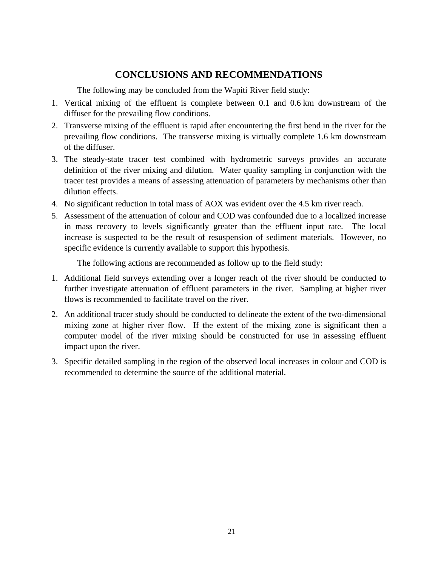# **CONCLUSIONS AND RECOMMENDATIONS**

The following may be concluded from the Wapiti River field study:

- 1. Vertical mixing of the effluent is complete between 0.1 and 0.6 km downstream of the diffuser for the prevailing flow conditions.
- 2. Transverse mixing of the effluent is rapid after encountering the first bend in the river for the prevailing flow conditions. The transverse mixing is virtually complete 1.6 km downstream of the diffuser.
- 3. The steady-state tracer test combined with hydrometric surveys provides an accurate definition of the river mixing and dilution. Water quality sampling in conjunction with the tracer test provides a means of assessing attenuation of parameters by mechanisms other than dilution effects.
- 4. No significant reduction in total mass of AOX was evident over the 4.5 km river reach.
- 5. Assessment of the attenuation of colour and COD was confounded due to a localized increase in mass recovery to levels significantly greater than the effluent input rate. The local increase is suspected to be the result of resuspension of sediment materials. However, no specific evidence is currently available to support this hypothesis.

The following actions are recommended as follow up to the field study:

- 1. Additional field surveys extending over a longer reach of the river should be conducted to further investigate attenuation of effluent parameters in the river. Sampling at higher river flows is recommended to facilitate travel on the river.
- 2. An additional tracer study should be conducted to delineate the extent of the two-dimensional mixing zone at higher river flow. If the extent of the mixing zone is significant then a computer model of the river mixing should be constructed for use in assessing effluent impact upon the river.
- 3. Specific detailed sampling in the region of the observed local increases in colour and COD is recommended to determine the source of the additional material.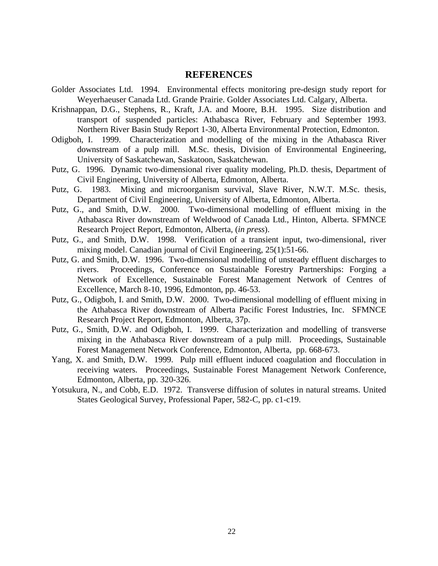## **REFERENCES**

- Golder Associates Ltd. 1994. Environmental effects monitoring pre-design study report for Weyerhaeuser Canada Ltd. Grande Prairie. Golder Associates Ltd. Calgary, Alberta.
- Krishnappan, D.G., Stephens, R., Kraft, J.A. and Moore, B.H. 1995. Size distribution and transport of suspended particles: Athabasca River, February and September 1993. Northern River Basin Study Report 1-30, Alberta Environmental Protection, Edmonton.
- Odigboh, I. 1999. Characterization and modelling of the mixing in the Athabasca River downstream of a pulp mill. M.Sc. thesis, Division of Environmental Engineering, University of Saskatchewan, Saskatoon, Saskatchewan.
- Putz, G. 1996. Dynamic two-dimensional river quality modeling, Ph.D. thesis, Department of Civil Engineering, University of Alberta, Edmonton, Alberta.
- Putz, G. 1983. Mixing and microorganism survival, Slave River, N.W.T. M.Sc. thesis, Department of Civil Engineering, University of Alberta, Edmonton, Alberta.
- Putz, G., and Smith, D.W. 2000. Two-dimensional modelling of effluent mixing in the Athabasca River downstream of Weldwood of Canada Ltd., Hinton, Alberta. SFMNCE Research Project Report, Edmonton, Alberta, (*in press*).
- Putz, G., and Smith, D.W. 1998. Verification of a transient input, two-dimensional, river mixing model. Canadian journal of Civil Engineering, 25(1):51-66.
- Putz, G. and Smith, D.W. 1996. Two-dimensional modelling of unsteady effluent discharges to rivers. Proceedings, Conference on Sustainable Forestry Partnerships: Forging a Network of Excellence, Sustainable Forest Management Network of Centres of Excellence, March 8-10, 1996, Edmonton, pp. 46-53.
- Putz, G., Odigboh, I. and Smith, D.W. 2000. Two-dimensional modelling of effluent mixing in the Athabasca River downstream of Alberta Pacific Forest Industries, Inc. SFMNCE Research Project Report, Edmonton, Alberta, 37p.
- Putz, G., Smith, D.W. and Odigboh, I. 1999. Characterization and modelling of transverse mixing in the Athabasca River downstream of a pulp mill. Proceedings, Sustainable Forest Management Network Conference, Edmonton, Alberta, pp. 668-673.
- Yang, X. and Smith, D.W. 1999. Pulp mill effluent induced coagulation and flocculation in receiving waters. Proceedings, Sustainable Forest Management Network Conference, Edmonton, Alberta, pp. 320-326.
- Yotsukura, N., and Cobb, E.D. 1972. Transverse diffusion of solutes in natural streams. United States Geological Survey, Professional Paper, 582-C, pp. c1-c19.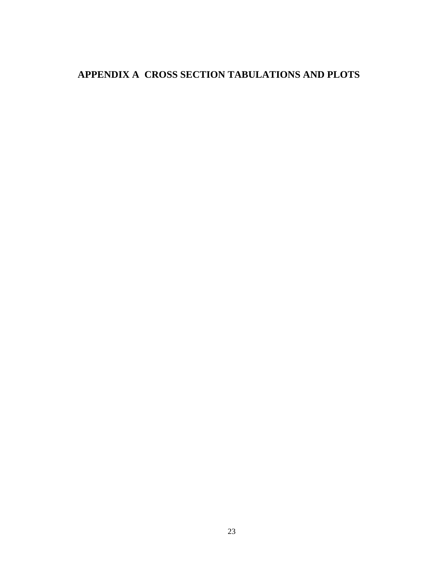# **APPENDIX A CROSS SECTION TABULATIONS AND PLOTS**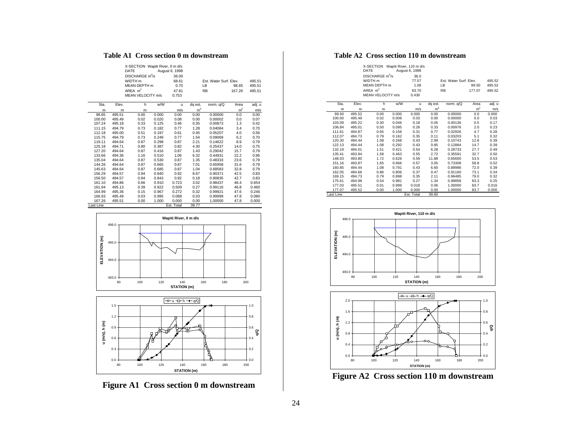#### **Table A1 Cross section 0 m downstream**

| X-SECTION Wapiti River, 0 m d/s |                |           |                        |        |
|---------------------------------|----------------|-----------|------------------------|--------|
| DATE                            | August 6, 1998 |           |                        |        |
| DISCHARGE $m^3/s$               | 36.00          |           |                        |        |
| WIDTH m                         | 68.61          |           | Est. Water Surf. Elev. | 495.51 |
| MEAN DEPTH m                    | 0.70           | LB        | 98.65                  | 495.51 |
| AREA $m2$                       | 47.81          | <b>RB</b> | 167.26                 | 495.51 |
| MEAN VELOCITY m/s               | 0.753          |           |                        |        |

| Sta.      | Elev.  | h    | w/W   | u          | dq est.        | norm. q/Q | Area           | adj. u |
|-----------|--------|------|-------|------------|----------------|-----------|----------------|--------|
| m         | m      | m    |       | m/s        | m <sup>3</sup> |           | m <sup>2</sup> | m/s    |
| 98.65     | 495.51 | 0.00 | 0.000 | 0.00       | 0.00           | 0.00000   | 0.0            | 0.00   |
| 100.00    | 495.49 | 0.02 | 0.020 | 0.08       | 0.00           | 0.00002   | 0.0            | 0.07   |
| 107.24    | 495.18 | 0.33 | 0.125 | 0.46       | 0.35           | 0.00873   | 1.3            | 0.42   |
| 111.15    | 494.79 | 0.73 | 0.182 | 0.77       | 1.28           | 0.04084   | 3.4            | 0.70   |
| 112.18    | 495.00 | 0.51 | 0.197 | 0.61       | 0.45           | 0.05207   | 4.0            | 0.56   |
| 115.75    | 494.79 | 0.73 | 0.249 | 0.77       | 1.54           | 0.09069   | 6.2            | 0.70   |
| 119.11    | 494.64 | 0.87 | 0.298 | 0.87       | 2.21           | 0.14622   | 8.9            | 0.79   |
| 125.18    | 494.71 | 0.80 | 0.387 | 0.82       | 4.30           | 0.25437   | 14.0           | 0.75   |
| 127.20    | 494.64 | 0.87 | 0.416 | 0.87       | 1.43           | 0.29042   | 15.7           | 0.79   |
| 133.66    | 494.36 | 1.16 | 0.510 | 1.06       | 6.32           | 0.44931   | 22.2           | 0.96   |
| 135.04    | 494.64 | 0.87 | 0.530 | 0.87       | 1.35           | 0.48333   | 23.6           | 0.79   |
| 144.26    | 494.64 | 0.87 | 0.665 | 0.87       | 7.01           | 0.65958   | 31.6           | 0.79   |
| 145.63    | 494.64 | 0.87 | 0.685 | 0.87       | 1.04           | 0.68583   | 32.8           | 0.79   |
| 156.29    | 494.57 | 0.94 | 0.840 | 0.92       | 8.67           | 0.90371   | 42.5           | 0.83   |
| 156.50    | 494.57 | 0.94 | 0.843 | 0.92       | 0.18           | 0.90835   | 42.7           | 0.83   |
| 161.10    | 494.86 | 0.66 | 0.910 | 0.723      | 3.02           | 0.98437   | 46.4           | 0.654  |
| 161.94    | 495.13 | 0.39 | 0.922 | 0.509      | 0.27           | 0.99116   | 46.8           | 0.460  |
| 164.99    | 495.36 | 0.15 | 0.967 | 0.272      | 0.32           | 0.99921   | 47.6           | 0.246  |
| 166.93    | 495.49 | 0.03 | 0.995 | 0.088      | 0.03           | 0.99999   | 47.8           | 0.080  |
| 167.26    | 495.51 | 0.00 | 1.000 | 0.000      | 0.00           | 1.00000   | 47.8           | 0.000  |
| Last Line |        |      |       | Est. Total | 39.77          |           |                |        |



**Figure A1 Cross section 0 m downstream**

#### **Table A2 Cross section 110 m downstream**

| X-SECTION Wapiti River, 110 m d/s<br>DATE | August 6, 1998 |                        |        |        |
|-------------------------------------------|----------------|------------------------|--------|--------|
| DISCHARGE $m^3$ /s                        | 36.0           |                        |        |        |
| WIDTH <sub>m</sub>                        | 77.57          | Est. Water Surf. Elev. |        | 495.52 |
| MEAN DEPTH m                              | 1.08           | LB                     | 99.50  | 495.52 |
| AREA $m2$                                 | 83.70          | <b>RB</b>              | 177.07 | 495.52 |
| MEAN VELOCITY m/s                         | 0.430          |                        |        |        |

| Sta.      | Elev.  | h    | w/W   | u          | dq est.        | norm. q/Q | Area           | adj. u |
|-----------|--------|------|-------|------------|----------------|-----------|----------------|--------|
| m         | m      | m    |       | m/s        | m <sup>3</sup> |           | m <sup>2</sup> | m/s    |
| 99.50     | 495.52 | 0.00 | 0.000 | 0.000      | 0.00           | 0.00000   | 0.0            | 0.000  |
| 100.00    | 495.49 | 0.02 | 0.006 | 0.03       | 0.00           | 0.00000   | 0.0            | 0.03   |
| 103.09    | 495.22 | 0.30 | 0.046 | 0.18       | 0.05           | 0.00136   | 0.5            | 0.17   |
| 106.84    | 495.01 | 0.50 | 0.095 | 0.26       | 0.33           | 0.00976   | 2.0            | 0.23   |
| 111.61    | 494.87 | 0.65 | 0.156 | 0.31       | 0.77           | 0.02926   | 4.7            | 0.28   |
| 112.07    | 494.73 | 0.79 | 0.162 | 0.35       | 0.11           | 0.03203   | 5.1            | 0.32   |
| 120.30    | 494.44 | 1.08 | 0.268 | 0.43       | 2.99           | 0.10743   | 12.8           | 0.39   |
| 122.13    | 494.44 | 1.08 | 0.292 | 0.43       | 0.85           | 0.12884   | 14.7           | 0.39   |
| 132.19    | 494.01 | 1.51 | 0.421 | 0.54       | 6.28           | 0.28733   | 27.7           | 0.49   |
| 135.41    | 493.94 | 1.58 | 0.463 | 0.55       | 2.72           | 0.35591   | 32.7           | 0.50   |
| 148.03    | 493.80 | 1.72 | 0.626 | 0.59       | 11.88          | 0.65600   | 53.5           | 0.53   |
| 151.16    | 493.87 | 1.65 | 0.666 | 0.57       | 3.05           | 0.73308   | 58.8           | 0.52   |
| 160.85    | 494.44 | 1.08 | 0.791 | 0.43       | 6.60           | 0.89986   | 72.0           | 0.39   |
| 162.05    | 494.66 | 0.86 | 0.806 | 0.37       | 0.47           | 0.91160   | 73.1           | 0.34   |
| 169.15    | 494.73 | 0.79 | 0.898 | 0.35       | 2.11           | 0.96485   | 79.0           | 0.32   |
| 175.61    | 494.98 | 0.54 | 0.981 | 0.27       | 1.34           | 0.99858   | 83.3           | 0.25   |
| 177.03    | 495.51 | 0.01 | 0.999 | 0.018      | 0.06           | 1.00000   | 83.7           | 0.016  |
| 177.07    | 495.52 | 0.00 | 1.000 | 0.000      | 0.00           | 1.00000   | 83.7           | 0.000  |
| Last Line |        |      |       | Est. Total | 39.60          |           |                |        |





**Figure A2 Cross section 110 m downstream**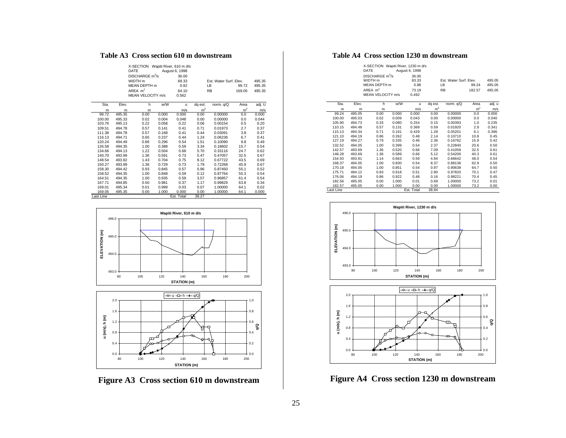#### **Table A3 Cross section 610 m downstream**

| X-SECTION Wapiti River, 610 m d/s<br>DATE | August 6, 1998 |           |                        |        |
|-------------------------------------------|----------------|-----------|------------------------|--------|
| DISCHARGE $m^3/s$                         | 36.00          |           |                        |        |
| WIDTH m                                   | 69.33          |           | Est. Water Surf. Elev. | 495.35 |
| MEAN DEPTH m                              | 0.92           | LB        | 99.72                  | 495.35 |
| AREA $m2$                                 | 64.10          | <b>RB</b> | 169.05                 | 495.35 |
| MEAN VELOCITY m/s                         | 0.562          |           |                        |        |

| Sta.      | Elev.  | h    | w/W   | u          | dq est.        | norm. q/Q | Area           | adj. U |
|-----------|--------|------|-------|------------|----------------|-----------|----------------|--------|
| m         | m      | m    |       | m/s        | m <sup>3</sup> |           | m <sup>2</sup> | m/s    |
| 99.72     | 495.35 | 0.00 | 0.000 | 0.000      | 0.00           | 0.00000   | 0.0            | 0.000  |
| 100.00    | 495.33 | 0.02 | 0.004 | 0.048      | 0.00           | 0.00000   | 0.0            | 0.044  |
| 103.76    | 495.13 | 0.22 | 0.058 | 0.22       | 0.06           | 0.00154   | 0.5            | 0.20   |
| 109.51    | 494.78 | 0.57 | 0.141 | 0.41       | 0.71           | 0.01973   | 2.7            | 0.37   |
| 111.38    | 494.78 | 0.57 | 0.168 | 0.41       | 0.44           | 0.03091   | 3.8            | 0.37   |
| 116.13    | 494.71 | 0.65 | 0.237 | 0.44       | 1.24           | 0.06236   | 6.7            | 0.41   |
| 120.24    | 494.49 | 0.86 | 0.296 | 0.54       | 1.51           | 0.10090   | 9.8            | 0.49   |
| 126.58    | 494.35 | 1.00 | 0.388 | 0.59       | 3.34           | 0.18602   | 15.7           | 0.54   |
| 134.66    | 494.13 | 1.22 | 0.504 | 0.68       | 5.70           | 0.33116   | 24.7           | 0.62   |
| 140.70    | 493.99 | 1.36 | 0.591 | 0.73       | 5.47           | 0.47057   | 32.5           | 0.67   |
| 148.54    | 493.92 | 1.43 | 0.704 | 0.75       | 8.12           | 0.67722   | 43.5           | 0.69   |
| 150.27    | 493.99 | 1.36 | 0.729 | 0.73       | 1.79           | 0.72268   | 45.9           | 0.67   |
| 158.30    | 494.42 | 0.93 | 0.845 | 0.57       | 5.96           | 0.87450   | 55.1           | 0.52   |
| 158.52    | 494.35 | 1.00 | 0.848 | 0.59       | 0.12           | 0.87764   | 55.3           | 0.54   |
| 164.51    | 494.35 | 1.00 | 0.935 | 0.59       | 3.57           | 0.96857   | 61.4           | 0.54   |
| 167.71    | 494.85 | 0.50 | 0.981 | 0.37       | 1.17           | 0.99829   | 63.8           | 0.34   |
| 169.01    | 495.34 | 0.01 | 0.999 | 0.03       | 0.07           | 1.00000   | 64.1           | 0.02   |
| 169.05    | 495.35 | 0.00 | 1.000 | 0.000      | 0.00           | 1.00000   | 64.1           | 0.000  |
| Last Line |        |      |       | Est. Total | 39.27          |           |                |        |





**Figure A3 Cross section 610 m downstream**

#### **Table A4 Cross section 1230 m downstream**

| X-SECTION Wapiti River, 1230 m d/s<br>DATE | August 6, 1998 |           |                        |        |
|--------------------------------------------|----------------|-----------|------------------------|--------|
| DISCHARGE $m^3$ /s<br>WIDTH m              | 36.00<br>83.33 |           | Est. Water Surf. Elev. | 495.05 |
| MEAN DEPTH m                               | 0.88           | LB        | 99.24                  | 495.05 |
| AREA $m2$<br>MEAN VELOCITY m/s             | 73.19<br>0.492 | <b>RB</b> | 182.57                 | 495.05 |

| Sta.      | Elev.  | h    | w/W   | u          | dq est.        | norm. q/Q | Area           | adj. u |
|-----------|--------|------|-------|------------|----------------|-----------|----------------|--------|
| m         | m      | m    |       | m/s        | m <sup>3</sup> |           | m <sup>2</sup> | m/s    |
| 99.24     | 495.05 | 0.00 | 0.000 | 0.000      | 0.00           | 0.00000   | 0.0            | 0.000  |
| 100.00    | 495.03 | 0.02 | 0.009 | 0.043      | 0.00           | 0.00000   | 0.0            | 0.040  |
| 105.90    | 494.73 | 0.33 | 0.080 | 0.254      | 0.15           | 0.00393   | 1.0            | 0.235  |
| 110.15    | 494.48 | 0.57 | 0.131 | 0.369      | 0.59           | 0.01920   | 2.9            | 0.341  |
| 115.13    | 494.34 | 0.71 | 0.191 | 0.429      | 1.28           | 0.05201   | 6.1            | 0.396  |
| 121.10    | 494.19 | 0.86 | 0.262 | 0.48       | 2.14           | 0.10710   | 10.8           | 0.45   |
| 127.19    | 494.27 | 0.79 | 0.335 | 0.46       | 2.36           | 0.16762   | 15.9           | 0.42   |
| 132.52    | 494.05 | 1.00 | 0.399 | 0.54       | 2.37           | 0.22840   | 20.6           | 0.50   |
| 142.57    | 493.69 | 1.36 | 0.520 | 0.66       | 7.09           | 0.41059   | 32.5           | 0.61   |
| 148.28    | 493.69 | 1.36 | 0.589 | 0.66       | 5.12           | 0.54200   | 40.3           | 0.61   |
| 154.50    | 493.91 | 1.14 | 0.663 | 0.59       | 4.84           | 0.66642   | 48.0           | 0.54   |
| 168.37    | 494.05 | 1.00 | 0.830 | 0.54       | 8.37           | 0.88136   | 62.9           | 0.50   |
| 170.18    | 494.05 | 1.00 | 0.851 | 0.54       | 0.97           | 0.90638   | 64.7           | 0.50   |
| 175.71    | 494.12 | 0.93 | 0.918 | 0.51       | 2.80           | 0.97820   | 70.1           | 0.47   |
| 176.06    | 494.19 | 0.86 | 0.922 | 0.48       | 0.16           | 0.98221   | 70.4           | 0.45   |
| 182.56    | 495.05 | 0.00 | 1.000 | 0.01       | 0.69           | 1.00000   | 73.2           | 0.01   |
| 182.57    | 495.05 | 0.00 | 1.000 | 0.00       | 0.00           | 1.00000   | 73.2           | 0.00   |
| Last Line |        |      |       | Est. Total | 38.94          |           |                |        |
|           |        |      |       |            |                |           |                |        |





**Figure A4 Cross section 1230 m downstream**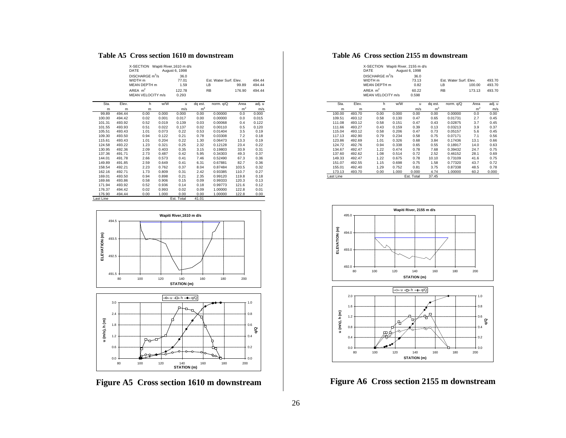#### **Table A5 Cross section 1610 m downstream**

| X-SECTION Wapiti River, 1610 m d/s<br>DATE | August 6, 1998 |           |                        |        |
|--------------------------------------------|----------------|-----------|------------------------|--------|
| DISCHARGE m <sup>3</sup> /s                | 36.0           |           |                        |        |
| WIDTH m                                    | 77.01          |           | Est. Water Surf. Elev. | 494.44 |
| MEAN DEPTH m                               | 1.59           | LB        | 99.89                  | 494.44 |
| AREA $m2$                                  | 122.78         | <b>RB</b> | 176.90                 | 494.44 |
| MEAN VELOCITY m/s                          | 0.293          |           |                        |        |

| Sta.      | Elev.  | h    | w/W   | u          | dq est.        | norm. q/Q | Area           | adj. u |
|-----------|--------|------|-------|------------|----------------|-----------|----------------|--------|
| m         | m      | m    |       | m/s        | m <sup>3</sup> |           | m <sup>2</sup> | m/s    |
| 99.89     | 494.44 | 0.00 | 0.000 | 0.000      | 0.00           | 0.00000   | 0.0            | 0.000  |
| 100.00    | 494.42 | 0.02 | 0.001 | 0.017      | 0.00           | 0.00000   | 0.0            | 0.015  |
| 101.31    | 493.92 | 0.52 | 0.019 | 0.139      | 0.03           | 0.00068   | 0.4            | 0.122  |
| 101.55    | 493.93 | 0.51 | 0.022 | 0.137      | 0.02           | 0.00110   | 0.5            | 0.120  |
| 105.51    | 493.43 | 1.01 | 0.073 | 0.22       | 0.53           | 0.01404   | 3.5            | 0.19   |
| 109.30    | 493.50 | 0.94 | 0.122 | 0.21       | 0.78           | 0.03308   | 7.2            | 0.18   |
| 115.61    | 493.43 | 1.01 | 0.204 | 0.22       | 1.30           | 0.06473   | 13.3           | 0.19   |
| 124.58    | 493.22 | 1.23 | 0.321 | 0.25       | 2.32           | 0.12128   | 23.4           | 0.22   |
| 130.95    | 492.36 | 2.09 | 0.403 | 0.35       | 3.15           | 0.19803   | 33.9           | 0.31   |
| 137.36    | 491.71 | 2.73 | 0.487 | 0.42       | 5.95           | 0.34303   | 49.3           | 0.37   |
| 144.01    | 491.78 | 2.66 | 0.573 | 0.41       | 7.46           | 0.52490   | 67.3           | 0.36   |
| 149.89    | 491.85 | 2.59 | 0.649 | 0.41       | 6.31           | 0.67881   | 82.7           | 0.36   |
| 158.54    | 492.21 | 2.23 | 0.762 | 0.37       | 8.04           | 0.87484   | 103.5          | 0.32   |
| 162.16    | 492.71 | 1.73 | 0.809 | 0.31       | 2.42           | 0.93385   | 110.7          | 0.27   |
| 169.01    | 493.50 | 0.94 | 0.898 | 0.21       | 2.35           | 0.99120   | 119.8          | 0.18   |
| 169.66    | 493.86 | 0.58 | 0.906 | 0.15       | 0.09           | 0.99333   | 120.3          | 0.13   |
| 171.94    | 493.92 | 0.52 | 0.936 | 0.14       | 0.18           | 0.99773   | 121.6          | 0.12   |
| 176.37    | 494.42 | 0.02 | 0.993 | 0.02       | 0.09           | 1.00000   | 122.8          | 0.01   |
| 176.90    | 494.44 | 0.00 | 1.000 | 0.00       | 0.00           | 1.00000   | 122.8          | 0.00   |
| Last Line |        |      |       | Est. Total | 41.01          |           |                |        |





**Figure A5 Cross section 1610 m downstream**

#### **Table A6 Cross section 2155 m downstream**

| X-SECTION Wapiti River, 2155 m d/s |                |                        |        |        |
|------------------------------------|----------------|------------------------|--------|--------|
| DATE                               | August 6, 1998 |                        |        |        |
| DISCHARGE $m^3$ /s                 | 36.0           |                        |        |        |
| WIDTH m                            | 73.13          | Est. Water Surf. Elev. |        | 493.70 |
| MEAN DEPTH m                       | 0.82           | LΒ                     | 100.00 | 493.70 |
| $ARFA$ m <sup>2</sup>              | 60.22          | <b>RB</b>              | 173.13 | 493.70 |
| MEAN VELOCITY m/s                  | 0.598          |                        |        |        |

| Sta.      | Elev.  | h    | w/W   |            |                |           | Area           |        |
|-----------|--------|------|-------|------------|----------------|-----------|----------------|--------|
|           |        |      |       | u          | dq est.        | norm. q/Q |                | adj. u |
| m         | m      | m    |       | m/s        | m <sup>3</sup> |           | m <sup>2</sup> | m/s    |
| 100.00    | 493.70 | 0.00 | 0.000 | 0.00       | 0.00           | 0.00000   | 0.0            | 0.00   |
| 109.51    | 493.12 | 0.58 | 0.130 | 0.47       | 0.65           | 0.01731   | 2.7            | 0.45   |
| 111.08    | 493.12 | 0.58 | 0.151 | 0.47       | 0.43           | 0.02875   | 3.7            | 0.45   |
| 111.66    | 493.27 | 0.43 | 0.159 | 0.39       | 0.13           | 0.03213   | 3.9            | 0.37   |
| 115.04    | 493.12 | 0.58 | 0.206 | 0.47       | 0.73           | 0.05157   | 5.6            | 0.45   |
| 117.13    | 492.90 | 0.79 | 0.234 | 0.58       | 0.75           | 0.07171   | 7.1            | 0.56   |
| 123.86    | 492.69 | 1.01 | 0.326 | 0.68       | 3.84           | 0.17436   | 13.1           | 0.66   |
| 124.72    | 492.76 | 0.94 | 0.338 | 0.65       | 0.55           | 0.18917   | 14.0           | 0.63   |
| 134.67    | 492.47 | 1.22 | 0.474 | 0.78       | 7.68           | 0.39432   | 24.7           | 0.75   |
| 137.60    | 492.62 | 1.08 | 0.514 | 0.72       | 2.52           | 0.46152   | 28.1           | 0.69   |
| 149.33    | 492.47 | 1.22 | 0.675 | 0.78       | 10.10          | 0.73109   | 41.6           | 0.75   |
| 151.07    | 492.55 | 1.15 | 0.698 | 0.75       | 1.58           | 0.77320   | 43.7           | 0.72   |
| 155.01    | 492.40 | 1.29 | 0.752 | 0.81       | 3.75           | 0.87338   | 48.5           | 0.78   |
| 173.13    | 493.70 | 0.00 | 1.000 | 0.000      | 4.74           | 1.00000   | 60.2           | 0.000  |
| Last Line |        |      |       | Est. Total | 37.45          |           |                |        |





**Figure A6 Cross section 2155 m downstream**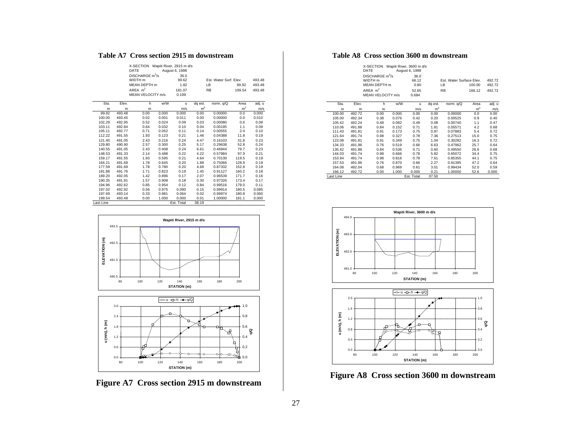#### **Table A7 Cross section 2915 m downstream**

| X-SECTION Wapiti River, 2915 m d/s |                |           |                        |        |
|------------------------------------|----------------|-----------|------------------------|--------|
| DATE                               | August 6, 1998 |           |                        |        |
| DISCHARGE m <sup>3</sup> /s        | 36.0           |           |                        |        |
| WIDTH m                            | 99.62          |           | Est. Water Surf. Elev. | 493.48 |
| MEAN DEPTH m                       | 1.82           | LB        | 99.92                  | 493.48 |
| AREA $m2$                          | 181.07         | <b>RB</b> | 199.54                 | 493.48 |
| MEAN VELOCITY m/s                  | 0.199          |           |                        |        |

| Sta.      | Elev.  | h    | w/W   | u          | dq est.        | norm. q/Q | Area           | adj. u |
|-----------|--------|------|-------|------------|----------------|-----------|----------------|--------|
| m         | m      | m    |       | m/s        | m <sup>3</sup> |           | m <sup>2</sup> | m/s    |
| 99.92     | 493.48 | 0.00 | 0.000 | 0.000      | 0.00           | 0.00000   | 0.0            | 0.000  |
| 100.00    | 493.45 | 0.02 | 0.001 | 0.011      | 0.00           | 0.00000   | 0.0            | 0.010  |
| 102.29    | 492.95 | 0.52 | 0.024 | 0.09       | 0.03           | 0.00080   | 0.6            | 0.08   |
| 103.11    | 492.84 | 0.64 | 0.032 | 0.10       | 0.04           | 0.00195   | 1.1            | 0.09   |
| 105.11    | 492.77 | 0.71 | 0.052 | 0.11       | 0.14           | 0.00555   | 2.4            | 0.10   |
| 112.22    | 491.55 | 1.93 | 0.123 | 0.21       | 1.46           | 0.04388   | 11.8           | 0.19   |
| 121.40    | 491.05 | 2.43 | 0.216 | 0.24       | 4.47           | 0.16103   | 31.8           | 0.23   |
| 129.80    | 490.90 | 2.57 | 0.300 | 0.25       | 5.17           | 0.29638   | 52.8           | 0.24   |
| 140.55    | 491.05 | 2.43 | 0.408 | 0.24       | 6.61           | 0.46944   | 79.7           | 0.23   |
| 148.53    | 491.33 | 2.14 | 0.488 | 0.22       | 4.22           | 0.57984   | 97.9           | 0.21   |
| 159.17    | 491.55 | 1.93 | 0.595 | 0.21       | 4.64           | 0.70130   | 119.5          | 0.19   |
| 164.21    | 491.69 | 1.78 | 0.645 | 0.20       | 1.88           | 0.75066   | 128.9          | 0.19   |
| 177.59    | 491.69 | 1.78 | 0.780 | 0.20       | 4.68           | 0.87332   | 152.8          | 0.19   |
| 181.88    | 491.76 | 1.71 | 0.823 | 0.19       | 1.45           | 0.91127   | 160.2          | 0.18   |
| 189.20    | 492.05 | 1.42 | 0.896 | 0.17       | 2.07           | 0.96539   | 171.7          | 0.16   |
| 190.35    | 491.91 | 1.57 | 0.908 | 0.18       | 0.30           | 0.97326   | 173.4          | 0.17   |
| 194.96    | 492.62 | 0.85 | 0.954 | 0.12       | 0.84           | 0.99516   | 179.0          | 0.11   |
| 197.02    | 492.92 | 0.56 | 0.975 | 0.090      | 0.15           | 0.99914   | 180.5          | 0.085  |
| 197.69    | 493.14 | 0.33 | 0.981 | 0.064      | 0.02           | 0.99974   | 180.8          | 0.060  |
| 199.54    | 493.48 | 0.00 | 1.000 | 0.000      | 0.01           | 1.00000   | 181.1          | 0.000  |
| Last Line |        |      |       | Est. Total | 38.19          |           |                |        |



**Figure A7 Cross section 2915 m downstream**

#### **Table A8 Cross section 3600 m downstream**

| X-SECTION Wapiti River, 3600 m d/s |                |           |                          |        |
|------------------------------------|----------------|-----------|--------------------------|--------|
| DATE                               | August 6, 1998 |           |                          |        |
| DISCHARGE $m^3$ /s                 | 36.0           |           |                          |        |
| WIDTH <sub>m</sub>                 | 66.12          |           | Est. Water Surface Elev. | 492.72 |
| MEAN DEPTH m                       | 0.80           | LB        | 100.00                   | 492.72 |
| AREA $m2$                          | 52.65          | <b>RB</b> | 166.12                   | 492.72 |
| MEAN VELOCITY m/s                  | 0.684          |           |                          |        |

| Sta.      | Elev.  | h    | w/W   | u          | dq est.        | norm. q/Q | Area           | adj. u |
|-----------|--------|------|-------|------------|----------------|-----------|----------------|--------|
| m         | m      | m    |       | m/s        | m <sup>3</sup> |           | m <sup>2</sup> | m/s    |
| 100.00    | 492.72 | 0.00 | 0.000 | 0.00       | 0.00           | 0.00000   | 0.0            | 0.00   |
| 105.00    | 492.34 | 0.38 | 0.076 | 0.42       | 0.20           | 0.00525   | 0.9            | 0.40   |
| 105.42    | 492.24 | 0.48 | 0.082 | 0.49       | 0.08           | 0.00740   | 1.1            | 0.47   |
| 110.06    | 491.88 | 0.84 | 0.152 | 0.71       | 1.81           | 0.05571   | 4.2            | 0.68   |
| 111.43    | 491.81 | 0.91 | 0.173 | 0.75       | 0.87           | 0.07883   | 5.4            | 0.72   |
| 121.64    | 491.74 | 0.98 | 0.327 | 0.78       | 7.36           | 0.27513   | 15.0           | 0.75   |
| 123.08    | 491.81 | 0.91 | 0.349 | 0.75       | 1.04           | 0.30282   | 16.3           | 0.72   |
| 134.33    | 491.96 | 0.76 | 0.519 | 0.66       | 6.63           | 0.47962   | 25.7           | 0.64   |
| 135.42    | 491.88 | 0.84 | 0.536 | 0.71       | 0.60           | 0.49550   | 26.6           | 0.68   |
| 144.03    | 491.74 | 0.98 | 0.666 | 0.78       | 5.82           | 0.65072   | 34.4           | 0.75   |
| 153.94    | 491.74 | 0.98 | 0.816 | 0.78       | 7.61           | 0.85355   | 44.1           | 0.75   |
| 157.53    | 491.96 | 0.76 | 0.870 | 0.66       | 2.27           | 0.91395   | 47.2           | 0.64   |
| 164.08    | 492.04 | 0.68 | 0.969 | 0.61       | 3.01           | 0.99434   | 52.0           | 0.59   |
| 166.12    | 492.72 | 0.00 | 1.000 | 0.000      | 0.21           | 1.00000   | 52.6           | 0.000  |
| Last Line |        |      |       | Est. Total | 37.50          |           |                |        |



**Figure A8 Cross section 3600 m downstream**